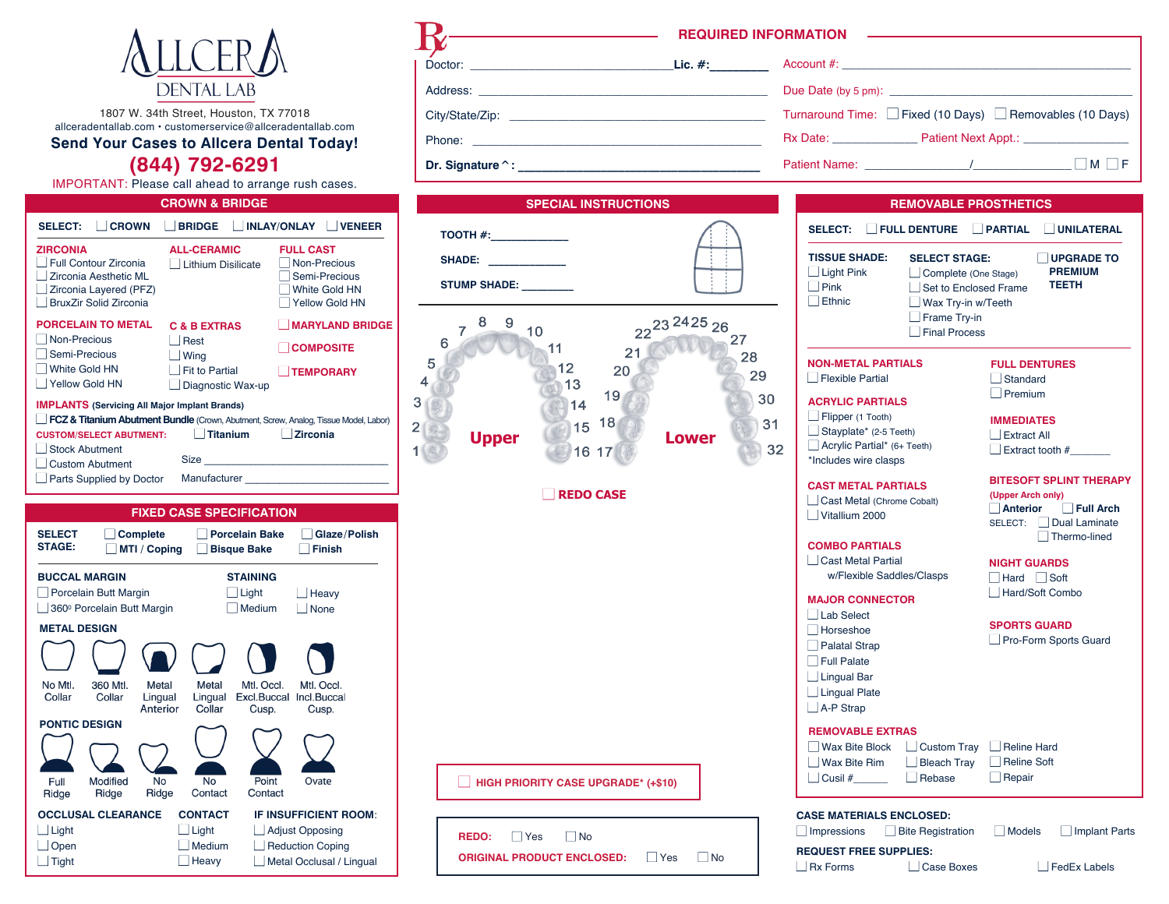

1807 W. 34th Street, Houston, TX 77018 allceradentallab.com • customerservice@allceradentallab.com

**Send Your Cases to Allcera Dental Today!** 

# (844) 792-6291

IMPORTANT: Please call ahead to arrange rush cases.

| <b>CROWN &amp; BRIDGE</b>                                                                                         |                                                                                                         |  |  |  |
|-------------------------------------------------------------------------------------------------------------------|---------------------------------------------------------------------------------------------------------|--|--|--|
| <b>BRIDGE</b>                                                                                                     | <b>INLAY/ONLAY</b><br><b>VENEER</b>                                                                     |  |  |  |
| <b>ALL-CERAMIC</b><br>Lithium Disilicate                                                                          | <b>FULL CAST</b><br>Non-Precious<br>Semi-Precious<br>White Gold HN<br><b>Yellow Gold HN</b>             |  |  |  |
| <b>C &amp; B EXTRAS</b><br>Rest<br>Wing<br><b>Fit to Partial</b><br>Diagnostic Wax-up                             | <b>MARYLAND BRIDGE</b><br><b>COMPOSITE</b><br><b>TEMPORARY</b>                                          |  |  |  |
| <b>IMPLANTS (Servicing All Major Implant Brands)</b><br><b>Titanium</b><br><b>CUSTOM/SELECT ABUTMENT:</b><br>Size | FCZ & Titanium Abutment Bundle (Crown, Abutment, Screw, Analog, Tissue Model, Labor)<br><b>Zirconia</b> |  |  |  |
|                                                                                                                   | Manufacturer                                                                                            |  |  |  |

# **FIXED CASE SPECIFICATION**

| Glaze/Polish<br><b>Finish</b>                       |
|-----------------------------------------------------|
| Heavy<br>None                                       |
|                                                     |
|                                                     |
| Mtl. Occl.<br>Incl.Buccal<br>Cusp.                  |
|                                                     |
| Ovate                                               |
| <b>IF INSUFFICIENT ROOM:</b>                        |
| <b>Adjust Opposing</b>                              |
| <b>Reduction Coping</b><br>Metal Occlusal / Lingual |
|                                                     |

| Dr. Signature ^: ______                                                                                                                                                                                                                                                                                                                                                                                                                                                          | Patient N                                                                                                                                                            |
|----------------------------------------------------------------------------------------------------------------------------------------------------------------------------------------------------------------------------------------------------------------------------------------------------------------------------------------------------------------------------------------------------------------------------------------------------------------------------------|----------------------------------------------------------------------------------------------------------------------------------------------------------------------|
| <b>SPECIAL INSTRUCTIONS</b>                                                                                                                                                                                                                                                                                                                                                                                                                                                      |                                                                                                                                                                      |
| $TOOTH \#$ :<br><b>SHADE:</b><br>$\begin{tabular}{ccccc} \multicolumn{2}{c }{\textbf{1} & \textbf{2} & \textbf{3} & \textbf{4} & \textbf{5} & \textbf{5} & \textbf{6} & \textbf{6} & \textbf{7} & \textbf{8} & \textbf{8} & \textbf{9} & \textbf{9} & \textbf{10} & \textbf{10} & \textbf{10} & \textbf{10} & \textbf{10} & \textbf{10} & \textbf{10} & \textbf{10} & \textbf{10} & \textbf{10} & \textbf{10} & \textbf{10} & \textbf{10} & \textbf{10$<br>STUMP SHADE: ________ | <b>SEL</b><br>TIS:<br>∟⊺<br>$\Box$ F<br>$\Box$ E                                                                                                                     |
| $\boldsymbol{8}$<br>- 9<br>$\overline{7}$<br>10<br>6<br>11<br>21<br>5<br>12<br>20<br>$\overline{\mathbf{4}}$<br>13<br>19<br>3<br>14<br>18<br>15<br>$2 \Box$<br><b>Upper</b><br>16 17<br>1                                                                                                                                                                                                                                                                                        | 22 <sup>23 24 25</sup> 26<br>27<br>28<br><b>NOI</b><br>29<br>$\Box$ f<br>30<br><b>ACF</b><br>$\Box$ F<br>31<br>$\square$ s<br><b>Lower</b><br>$\Box$ A<br>32<br>*Inc |
| <b>REDO CASE</b>                                                                                                                                                                                                                                                                                                                                                                                                                                                                 | CAS<br>$\sqcup$ c<br>$\Box$ v                                                                                                                                        |
|                                                                                                                                                                                                                                                                                                                                                                                                                                                                                  | <b>COI</b><br>$\Box$ C                                                                                                                                               |
|                                                                                                                                                                                                                                                                                                                                                                                                                                                                                  | MA.<br>ΠL<br>⊣ד<br>⊣P<br>ПF<br>∟⊡<br>٦L<br>ΠA                                                                                                                        |
| HIGH PRIORITY CASE UPGRADE* (+\$10)                                                                                                                                                                                                                                                                                                                                                                                                                                              | <b>REM</b><br>٦v<br>– ∣ v<br>٦c                                                                                                                                      |
| $\Box$ Yes<br>$\Box$ No<br><b>REDO:</b><br><b>ORIGINAL PRODUCT ENCLOSED:</b> □ Yes □ No                                                                                                                                                                                                                                                                                                                                                                                          | <b>CASE</b><br>$\lrcorner$ lmp<br><b>REQU</b>                                                                                                                        |

REQUIRED INFORMATION **ACCEPTED** Turnaround Time: □ Fixed (10 Days) □ Removables (10 Days) Rx Date: Patient Next Appt.:  $\Box M \Box F$ 

| <b>REMOVABLE PROSTHETICS</b>                                                                                        |                                                                                                                              |                                                                                                      |  |
|---------------------------------------------------------------------------------------------------------------------|------------------------------------------------------------------------------------------------------------------------------|------------------------------------------------------------------------------------------------------|--|
| SELECT: FULL DENTURE                                                                                                |                                                                                                                              | PARTIAL JUNILATERAL                                                                                  |  |
| <b>TISSUE SHADE:</b><br>$\Box$ Light Pink<br>$\Box$ Pink<br>Ethnic                                                  | <b>SELECT STAGE:</b><br>Complete (One Stage)<br>Set to Enclosed Frame<br>Wax Try-in w/Teeth<br>Frame Try-in<br>Final Process | <b>UPGRADE TO</b><br><b>PREMIUM</b><br><b>TEETH</b>                                                  |  |
| <b>NON-METAL PARTIALS</b><br>Flexible Partial                                                                       |                                                                                                                              | <b>FULL DENTURES</b><br>Standard<br>Premium                                                          |  |
| <b>ACRYLIC PARTIALS</b><br>Flipper (1 Tooth)<br>$\Box$ Stayplate* (2-5 Teeth)<br>$\Box$ Acrylic Partial* (6+ Teeth) |                                                                                                                              | <b>IMMEDIATES</b><br>Extract All<br>$\Box$ Extract tooth #                                           |  |
| *Includes wire clasps<br><b>CAST METAL PARTIALS</b><br>Cast Metal (Chrome Cobalt)<br>Vitallium 2000                 |                                                                                                                              | <b>BITESOFT SPLINT THERAPY</b><br>(Upper Arch only)<br>Anterior Full Arch<br>SELECT:   Dual Laminate |  |
| <b>COMBO PARTIALS</b><br>Cast Metal Partial<br>w/Flexible Saddles/Clasps                                            |                                                                                                                              | Thermo-lined<br><b>NIGHT GUARDS</b><br>Hard Soft                                                     |  |
| <b>MAJOR CONNECTOR</b>                                                                                              |                                                                                                                              | Hard/Soft Combo                                                                                      |  |
| Lab Select<br>Horseshoe<br>$\Box$ Palatal Strap<br>Full Palate                                                      |                                                                                                                              | <b>SPORTS GUARD</b><br>Pro-Form Sports Guard                                                         |  |
| Lingual Bar<br>Lingual Plate<br>A-P Strap                                                                           |                                                                                                                              |                                                                                                      |  |
| <b>REMOVABLE EXTRAS</b><br>Wax Bite Block<br>Wax Bite Rim<br>$\vert$ Cusil #                                        | $\Box$ Custom Tray<br>$\Box$ Bleach Tray<br>Rebase                                                                           | Reline Hard<br>Reline Soft<br>$\Box$ Repair                                                          |  |

**JEST FREE SUPPLIES:**  $\Box$  Rx Forms Case Boxes

FedEx Labels